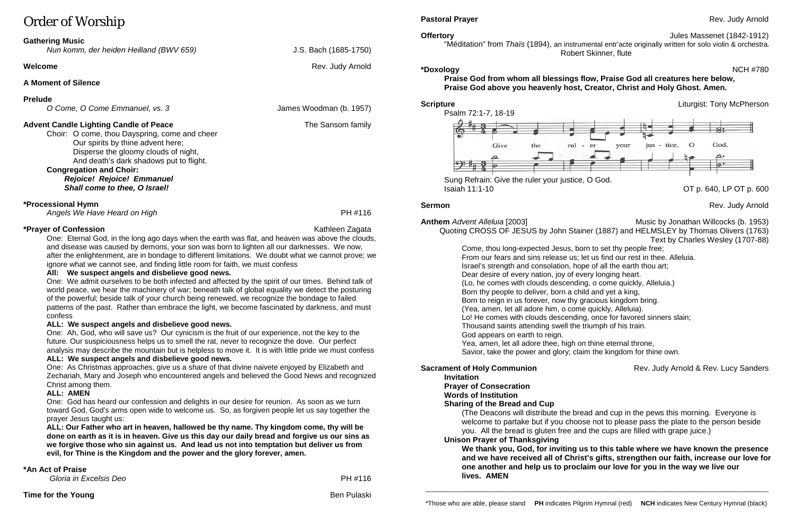# Order of Worship

# **Gathering Music**

*Nun komm, der heiden Heilland (BWV 659)* J.S. Bach (1685-1750)

# **Welcome** Rev. Judy Arnold

# **A Moment of Silence**

# **Prelude**

*O Come, O Come Emmanuel, vs. 3* James Woodman (b. 1957)

# **Advent Candle Lighting Candle of Peace** The Sansom family

Choir: O come, thou Dayspring, come and cheer Our spirits by thine advent here; Disperse the gloomy clouds of night, And death's dark shadows put to flight. **Congregation and Choir:**

*Rejoice! Rejoice! Emmanuel Shall come to thee, O Israel!* 

# **\*Processional Hymn**

*Angels We Have Heard on High* **PH #116** 

# **\*Praver of Confession Confession** Construction **Confession Construction Kathleen Zagata**

One: Eternal God, in the long ago days when the earth was flat, and heaven was above the clouds, and disease was caused by demons, your son was born to lighten all our darknesses. We now, after the enlightenment, are in bondage to different limitations. We doubt what we cannot prove; we ignore what we cannot see, and finding little room for faith, we must confess

# **All: We suspect angels and disbelieve good news.**

One: We admit ourselves to be both infected and affected by the spirit of our times. Behind talk of world peace, we hear the machinery of war; beneath talk of global equality we detect the posturing of the powerful; beside talk of your church being renewed, we recognize the bondage to failed patterns of the past. Rather than embrace the light, we become fascinated by darkness, and must confess

# **ALL: We suspect angels and disbelieve good news.**

One: Ah, God, who will save us? Our cynicism is the fruit of our experience, not the key to the future. Our suspiciousness helps us to smell the rat, never to recognize the dove. Our perfect analysis may describe the mountain but is helpless to move it. It is with little pride we must confess **Anthem** *Advent Alleluia* [2003] **Music by Jonathan Willcocks (b. 1953)** Music by Jonathan Willcocks (b. 1953) Quoting CROSS OF JESUS by John Stainer (1887) and HELMSLEY by Thomas Olivers (1763) Text by Charles Wesley (1707-88) Come, thou long-expected Jesus, born to set thy people free;

# **ALL: We suspect angels and disbelieve good news.**

One: As Christmas approaches, give us a share of that divine naivete enjoyed by Elizabeth and Zechariah, Mary and Joseph who encountered angels and believed the Good News and recognized Christ among them.

# **ALL: AMEN**

One: God has heard our confession and delights in our desire for reunion. As soon as we turn toward God, God's arms open wide to welcome us. So, as forgiven people let us say together the prayer Jesus taught us:

**ALL: Our Father who art in heaven, hallowed be thy name. Thy kingdom come, thy will be done on earth as it is in heaven. Give us this day our daily bread and forgive us our sins as we forgive those who sin against us. And lead us not into temptation but deliver us from evil, for Thine is the Kingdom and the power and the glory forever, amen.**

# **\*An Act of Praise**

| .                      |         |
|------------------------|---------|
| Gloria in Excelsis Deo | PH #116 |
|                        |         |

# **Pastoral Prayer** Rev. Judy Arnold **Prayer** Rev. Judy Arnold Rev. Judy Arnold

# **Offertory** Jules Massenet (1842-1912)

"Méditation" from *[Thaïs](https://en.wikipedia.org/wiki/Tha%C3%AFs_(opera))* (1894), an instrumental entr'acte originally written for solo violin & orchestra. Robert Skinner, flute

# **\*Doxology** NCH #780

# **Praise God from whom all blessings flow, Praise God all creatures here below, Praise God above you heavenly host, Creator, Christ and Holy Ghost. Amen.**

**Scripture** Liturgist: Tony McPherson

**Sermon** Rev. Judy Arnold **Rev. 3.1 (1998)** Rev. 3.1 (1998) Rev. 3.1 (1998) Rev. 3.1 (1998) Rev. 3.1 (1998) Rev. 3.1 (1998) Rev. 3.1 (1998) Rev. 3.1 (1998) Rev. 3.1 (1998) Rev. 3.1 (1998) Rev. 3.1 (1998) Rev. 3.1 (1998) Re

- 
- 
- 
- 
- 
- 
- 
- 
- 

**Sacrament of Holy Communion** Rev. Judy Arnold & Rev. Lucy Sanders



Sung Refrain: Give the ruler your justice, O God. Isaiah 11:1-10 OT p. 640, LP OT p. 600

From our fears and sins release us; let us find our rest in thee. Alleluia. Israel's strength and consolation, hope of all the earth thou art; Dear desire of every nation, joy of every longing heart. (Lo, he comes with clouds descending, o come quickly, Alleluia.) Born thy people to deliver, born a child and yet a king, Born to reign in us forever, now thy gracious kingdom bring. (Yea, amen, let all adore him, o come quickly, Alleluia). Lo! He comes with clouds descending, once for favored sinners slain; Thousand saints attending swell the triumph of his train. God appears on earth to reign. Yea, amen, let all adore thee, high on thine eternal throne, Savior, take the power and glory; claim the kingdom for thine own.

## **Invitation**

# **Prayer of Consecration**

### **Words of Institution Sharing of the Bread and Cup**

(The Deacons will distribute the bread and cup in the pews this morning. Everyone is welcome to partake but if you choose not to please pass the plate to the person beside you. All the bread is gluten free and the cups are filled with grape juice.)

# **Unison Prayer of Thanksgiving lives. AMEN**

**We thank you, God, for inviting us to this table where we have known the presence and we have received all of Christ's gifts, strengthen our faith, increase our love for one another and help us to proclaim our love for you in the way we live our** 

\_\_\_\_\_\_\_\_\_\_\_\_\_\_\_\_\_\_\_\_\_\_\_\_\_\_\_\_\_\_\_\_\_\_\_\_\_\_\_\_\_\_\_\_\_\_\_\_\_\_\_\_\_\_\_\_\_\_\_\_\_\_\_\_\_\_\_\_\_\_\_\_\_\_\_\_\_\_\_\_\_\_\_\_\_\_\_\_\_\_\_\_\_\_\_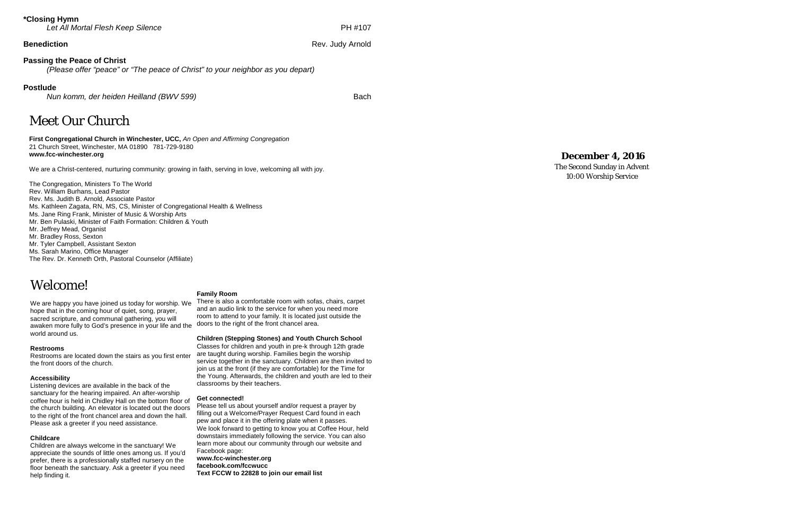# **\*Closing Hymn**

*Let All Mortal Flesh Keep Silence*

PH #107

**Benediction** Rev. Judy Arnold Rev. Judy Arnold Rev. Judy Arnold Rev. Judy Arnold Rev. Judy Arnold Rev. 3. The Rev

# **Passing the Peace of Christ**

*(Please offer "peace" or " The peace of Christ" to your neighbor as you depart)*

## **Postlude**

*Nun komm, der heiden Heilland (BWV 599)* Bach

# Meet Our Church

**First Congregational Church in Winchester, UCC,** *An Open and Affirming Congregation* 21 Church Street, Winchester, MA 01890 781 -729 -9180 **www.fcc -winchester.org**

We are a Christ -centered, nurturing community: growing in faith, serving in love, welcoming all with joy.

The Congregation, Ministers To The World Rev. William Burhans, Lead Pastor Rev. Ms. Judith B. Arnold, Associate Pastor Ms. Kathleen Zagata, RN, MS, CS, Minister of Congregational Health & Wellness Ms. Jane Ring Frank, Minister of Music & Worship Arts Mr. Ben Pulaski, Minister of Faith Formation: Children & Youth Mr. Jeffrey Mead, Organist Mr. Bradley Ross, Sexton Mr. Tyler Campbell, Assistant Sexton Ms. Sarah Marino, Office Manager The Rev. Dr. Kenneth Orth, Pastoral Counselor (Affiliate)

# Welcome!

We are happy you have joined us today for worship. We hope that in the coming hour of quiet, song, prayer, sacred scripture, and communal gathering, you will awaken more fully to God's presence in your life and the world around us.

### **Restrooms**

Restrooms are located down the stairs as you first enter the front doors of the church.

### **Accessibility**

Listening devices are available in the back of the sanctuary for the hearing impaired. An after -worship coffee hour is held in Chidley Hall on the bottom floor of the church building. An elevator is located out the doors to the right of the front chancel area and down the hall. Please ask a greeter if you need assistance.

### **Childcare**

Children are always welcome in the sanctuary! We appreciate the sounds of little ones among us. If you'd prefer, there is a professionally staffed nursery on the floor beneath the sanctuary. Ask a greeter if you need help finding it.

### **Family Room**

There is also a comfortable room with sofas, chairs, carpet and an audio link to the service for when you need more room to attend to your family. It is located just outside the doors to the right of the front chancel area.

### **Children (Stepping Stones) and Youth Church School**

Classes for children and youth in pre -k through 12th grade are taught during worship. Families begin the worship service together in the sanctuary. Children are then invited to join us at the front (if they are comfortable) for the Time for the Young. Afterwards, the children and youth are led to their classrooms by their teachers.

### **Get connected!**

Please tell us about yourself and/or request a prayer by filling out a Welcome/Prayer Request Card found in each pew and place it in the offering plate when it passes. We look forward to getting to know you at Coffee Hour, held downstairs immediately following the service. You can also learn more about our community through our website and Facebook page: **www.fcc -winchester.org facebook.com/fccwucc Text FCCW to 22828 to join our email list**

# **Dece mber 4, 2016**

The Second Sunday in Advent 10:00 Worship Service